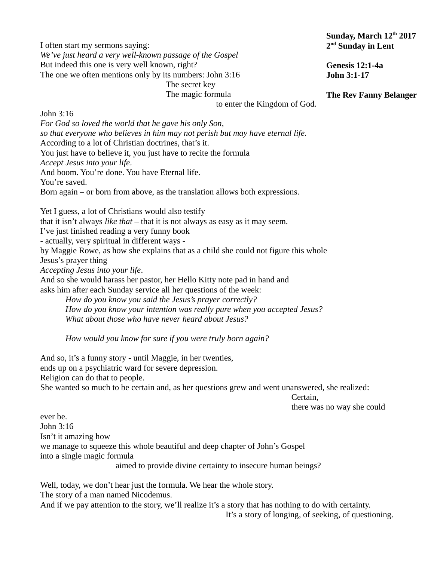I often start my sermons saying: *We've just heard a very well-known passage of the Gospel* But indeed this one is very well known, right? The one we often mentions only by its numbers: John 3:16

The secret key

The magic formula to enter the Kingdom of God.

John 3:16

*For God so loved the world that he gave his only Son, so that everyone who believes in him may not perish but may have eternal life.*  According to a lot of Christian doctrines, that's it. You just have to believe it, you just have to recite the formula *Accept Jesus into your life*. And boom. You're done. You have Eternal life. You're saved. Born again – or born from above, as the translation allows both expressions.

Yet I guess, a lot of Christians would also testify that it isn't always *like that* – that it is not always as easy as it may seem. I've just finished reading a very funny book - actually, very spiritual in different ways by Maggie Rowe, as how she explains that as a child she could not figure this whole Jesus's prayer thing *Accepting Jesus into your life*. And so she would harass her pastor, her Hello Kitty note pad in hand and asks him after each Sunday service all her questions of the week:

*How do you know you said the Jesus's prayer correctly? How do you know your intention was really pure when you accepted Jesus? What about those who have never heard about Jesus?*

*How would you know for sure if you were truly born again?*

And so, it's a funny story - until Maggie, in her twenties, ends up on a psychiatric ward for severe depression. Religion can do that to people. She wanted so much to be certain and, as her questions grew and went unanswered, she realized:

Certain,

there was no way she could

ever be. John 3:16 Isn't it amazing how we manage to squeeze this whole beautiful and deep chapter of John's Gospel into a single magic formula aimed to provide divine certainty to insecure human beings?

Well, today, we don't hear just the formula. We hear the whole story. The story of a man named Nicodemus. And if we pay attention to the story, we'll realize it's a story that has nothing to do with certainty.

It's a story of longing, of seeking, of questioning.

## **Sunday, March 12th 2017 2 nd Sunday in Lent**

**Genesis 12:1-4a John 3:1-17**

## **The Rev Fanny Belanger**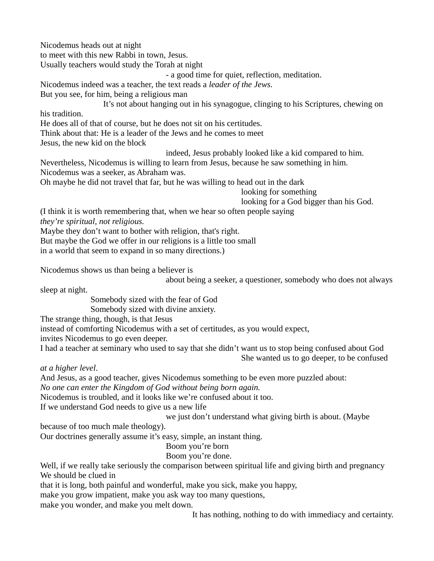Nicodemus heads out at night

to meet with this new Rabbi in town, Jesus.

Usually teachers would study the Torah at night

- a good time for quiet, reflection, meditation.

Nicodemus indeed was a teacher, the text reads a *leader of the Jews.*

But you see, for him, being a religious man

It's not about hanging out in his synagogue, clinging to his Scriptures, chewing on his tradition.

He does all of that of course, but he does not sit on his certitudes.

Think about that: He is a leader of the Jews and he comes to meet

Jesus, the new kid on the block

indeed, Jesus probably looked like a kid compared to him.

Nevertheless, Nicodemus is willing to learn from Jesus, because he saw something in him. Nicodemus was a seeker, as Abraham was.

Oh maybe he did not travel that far, but he was willing to head out in the dark

looking for something

looking for a God bigger than his God.

(I think it is worth remembering that, when we hear so often people saying

*they're spiritual, not religious.*

Maybe they don't want to bother with religion, that's right.

But maybe the God we offer in our religions is a little too small

in a world that seem to expand in so many directions.)

Nicodemus shows us than being a believer is

about being a seeker, a questioner, somebody who does not always

sleep at night.

Somebody sized with the fear of God

Somebody sized with divine anxiety.

The strange thing, though, is that Jesus

instead of comforting Nicodemus with a set of certitudes, as you would expect,

invites Nicodemus to go even deeper.

I had a teacher at seminary who used to say that she didn't want us to stop being confused about God She wanted us to go deeper, to be confused

*at a higher level*.

And Jesus, as a good teacher, gives Nicodemus something to be even more puzzled about:

*No one can enter the Kingdom of God without being born again.*

Nicodemus is troubled, and it looks like we're confused about it too.

If we understand God needs to give us a new life

we just don't understand what giving birth is about. (Maybe

because of too much male theology).

Our doctrines generally assume it's easy, simple, an instant thing.

Boom you're born

Boom you're done.

Well, if we really take seriously the comparison between spiritual life and giving birth and pregnancy We should be clued in

that it is long, both painful and wonderful, make you sick, make you happy,

make you grow impatient, make you ask way too many questions,

make you wonder, and make you melt down.

It has nothing, nothing to do with immediacy and certainty.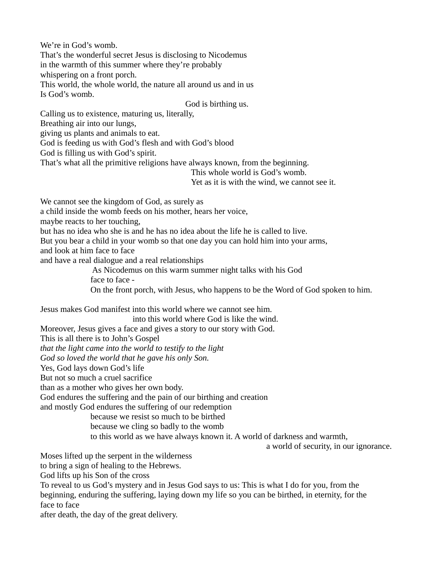We're in God's womb.

That's the wonderful secret Jesus is disclosing to Nicodemus

in the warmth of this summer where they're probably

whispering on a front porch.

This world, the whole world, the nature all around us and in us

Is God's womb.

God is birthing us.

Calling us to existence, maturing us, literally,

Breathing air into our lungs,

giving us plants and animals to eat.

God is feeding us with God's flesh and with God's blood

God is filling us with God's spirit.

That's what all the primitive religions have always known, from the beginning.

This whole world is God's womb.

Yet as it is with the wind, we cannot see it.

We cannot see the kingdom of God, as surely as

a child inside the womb feeds on his mother, hears her voice,

maybe reacts to her touching,

but has no idea who she is and he has no idea about the life he is called to live.

But you bear a child in your womb so that one day you can hold him into your arms,

and look at him face to face

and have a real dialogue and a real relationships

 As Nicodemus on this warm summer night talks with his God face to face -

On the front porch, with Jesus, who happens to be the Word of God spoken to him.

Jesus makes God manifest into this world where we cannot see him.

into this world where God is like the wind.

Moreover, Jesus gives a face and gives a story to our story with God.

This is all there is to John's Gospel

*that the light came into the world to testify to the light*

*God so loved the world that he gave his only Son.*

Yes, God lays down God's life

But not so much a cruel sacrifice

than as a mother who gives her own body.

God endures the suffering and the pain of our birthing and creation

and mostly God endures the suffering of our redemption

because we resist so much to be birthed

because we cling so badly to the womb

to this world as we have always known it. A world of darkness and warmth,

a world of security, in our ignorance.

Moses lifted up the serpent in the wilderness

to bring a sign of healing to the Hebrews.

God lifts up his Son of the cross

To reveal to us God's mystery and in Jesus God says to us: This is what I do for you, from the beginning, enduring the suffering, laying down my life so you can be birthed, in eternity, for the face to face

after death, the day of the great delivery.